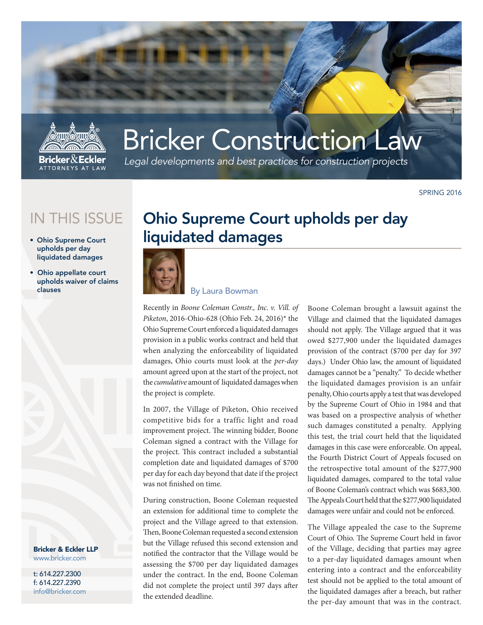

# Bricker Construction Law

*Legal developments and best practices for construction projects*

SPRING 2016

## IN THIS ISSUE

- Ohio Supreme Court upholds per day liquidated damages
- Ohio appellate court upholds waiver of claims clauses

Bricker & Eckler LLP www.bricker.com

t: 614.227.2300 f: 614.227.2390 info@bricker.com

## Ohio Supreme Court upholds per day liquidated damages



### By Laura Bowman

Recently in *Boone Coleman Constr., Inc. v. Vill. of Piketon*, 2016-Ohio-628 (Ohio Feb. 24, 2016)\* the Ohio Supreme Court enforced a liquidated damages provision in a public works contract and held that when analyzing the enforceability of liquidated damages, Ohio courts must look at the *per-day* amount agreed upon at the start of the project, not the *cumulative* amount of liquidated damages when the project is complete.

In 2007, the Village of Piketon, Ohio received competitive bids for a traffic light and road improvement project. The winning bidder, Boone Coleman signed a contract with the Village for the project. This contract included a substantial completion date and liquidated damages of \$700 per day for each day beyond that date if the project was not finished on time.

During construction, Boone Coleman requested an extension for additional time to complete the project and the Village agreed to that extension. Then, Boone Coleman requested a second extension but the Village refused this second extension and notified the contractor that the Village would be assessing the \$700 per day liquidated damages under the contract. In the end, Boone Coleman did not complete the project until 397 days after the extended deadline.

Boone Coleman brought a lawsuit against the Village and claimed that the liquidated damages should not apply. The Village argued that it was owed \$277,900 under the liquidated damages provision of the contract (\$700 per day for 397 days.) Under Ohio law, the amount of liquidated damages cannot be a "penalty." To decide whether the liquidated damages provision is an unfair penalty, Ohio courts apply a test that was developed by the Supreme Court of Ohio in 1984 and that was based on a prospective analysis of whether such damages constituted a penalty. Applying this test, the trial court held that the liquidated damages in this case were enforceable. On appeal, the Fourth District Court of Appeals focused on the retrospective total amount of the \$277,900 liquidated damages, compared to the total value of Boone Coleman's contract which was \$683,300. The Appeals Court held that the \$277,900 liquidated damages were unfair and could not be enforced.

The Village appealed the case to the Supreme Court of Ohio. The Supreme Court held in favor of the Village, deciding that parties may agree to a per-day liquidated damages amount when entering into a contract and the enforceability test should not be applied to the total amount of the liquidated damages after a breach, but rather the per-day amount that was in the contract.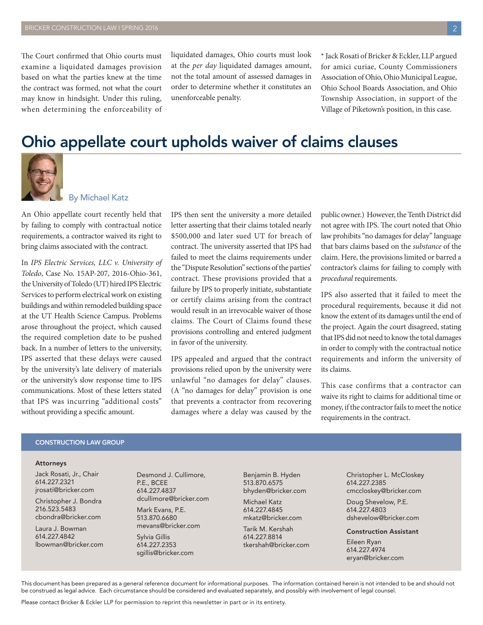The Court confirmed that Ohio courts must examine a liquidated damages provision based on what the parties knew at the time the contract was formed, not what the court may know in hindsight. Under this ruling, when determining the enforceability of liquidated damages, Ohio courts must look at the *per day* liquidated damages amount, not the total amount of assessed damages in order to determine whether it constitutes an unenforceable penalty.

\* Jack Rosati of Bricker & Eckler, LLP argued for amici curiae, County Commissioners Association of Ohio, Ohio Municipal League, Ohio School Boards Association, and Ohio Township Association, in support of the Village of Piketown's position, in this case.

## Ohio appellate court upholds waiver of claims clauses



### By Michael Katz

An Ohio appellate court recently held that by failing to comply with contractual notice requirements, a contractor waived its right to bring claims associated with the contract.

In *IPS Electric Services, LLC v. University of Toledo*, Case No. 15AP-207, 2016-Ohio-361, the University of Toledo (UT) hired IPS Electric Services to perform electrical work on existing buildings and within remodeled building space at the UT Health Science Campus. Problems arose throughout the project, which caused the required completion date to be pushed back. In a number of letters to the university, IPS asserted that these delays were caused by the university's late delivery of materials or the university's slow response time to IPS communications. Most of these letters stated that IPS was incurring "additional costs" without providing a specific amount.

IPS then sent the university a more detailed letter asserting that their claims totaled nearly \$500,000 and later sued UT for breach of contract. The university asserted that IPS had failed to meet the claims requirements under the "Dispute Resolution" sections of the parties' contract. These provisions provided that a failure by IPS to properly initiate, substantiate or certify claims arising from the contract would result in an irrevocable waiver of those claims. The Court of Claims found these provisions controlling and entered judgment in favor of the university.

IPS appealed and argued that the contract provisions relied upon by the university were unlawful "no damages for delay" clauses. (A "no damages for delay" provision is one that prevents a contractor from recovering damages where a delay was caused by the

public owner.) However, the Tenth District did not agree with IPS. The court noted that Ohio law prohibits "no damages for delay" language that bars claims based on the *substance* of the claim. Here, the provisions limited or barred a contractor's claims for failing to comply with *procedural* requirements.

IPS also asserted that it failed to meet the procedural requirements, because it did not know the extent of its damages until the end of the project. Again the court disagreed, stating that IPS did not need to know the total damages in order to comply with the contractual notice requirements and inform the university of its claims.

This case confirms that a contractor can waive its right to claims for additional time or money, if the contractor fails to meet the notice requirements in the contract.

#### CONSTRUCTION LAW GROUP

#### Attorneys

Jack Rosati, Jr., Chair 614.227.2321 jrosati@bricker.com

Christopher J. Bondra 216.523.5483 cbondra@bricker.com

Laura J. Bowman 614.227.4842 lbowman@bricker.com Desmond J. Cullimore, P.E., BCEE 614.227.4837 dcullimore@bricker.com

Mark Evans, P.E. 513.870.6680 mevans@bricker.com

Sylvia Gillis 614.227.2353 sgillis@bricker.com Benjamin B. Hyden 513.870.6575 bhyden@bricker.com

Michael Katz 614.227.4845 mkatz@bricker.com

Tarik M. Kershah 614.227.8814 tkershah@bricker.com

Christopher L. McCloskey 614.227.2385 cmccloskey@bricker.com

Doug Shevelow, P.E. 614.227.4803 dshevelow@bricker.com

#### Construction Assistant

Eileen Ryan 614.227.4974 eryan@bricker.com

This document has been prepared as a general reference document for informational purposes. The information contained herein is not intended to be and should not be construed as legal advice. Each circumstance should be considered and evaluated separately, and possibly with involvement of legal counsel.